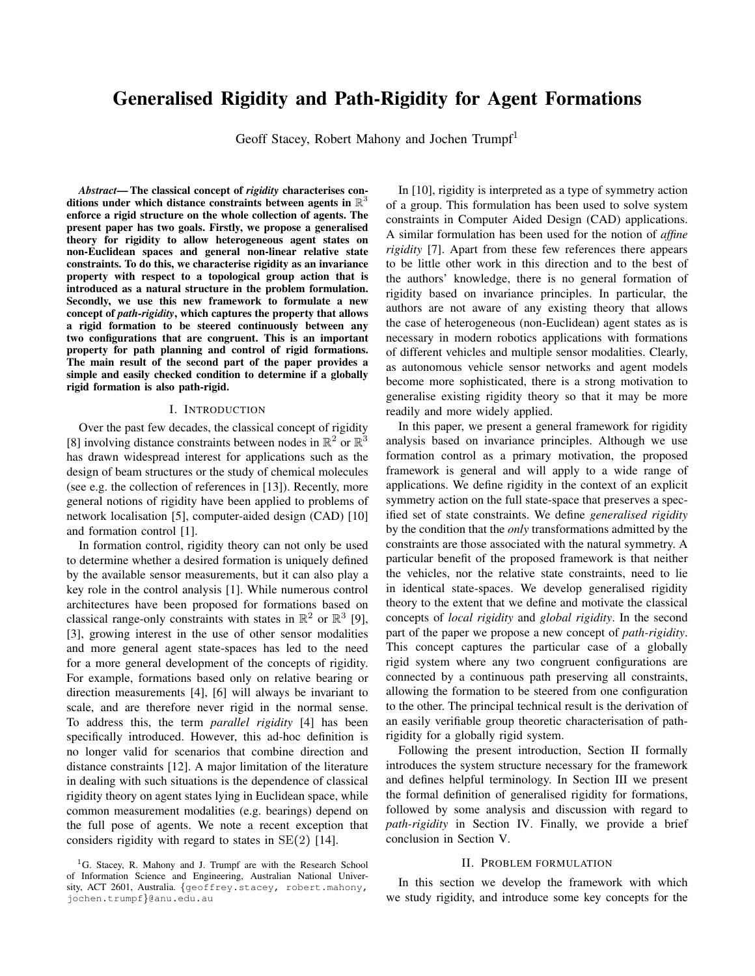# **Generalised Rigidity and Path-Rigidity for Agent Formations**

Geoff Stacey, Robert Mahony and Jochen Trumpf<sup>1</sup>

Abstract-The classical concept of rigidity characterises conditions under which distance constraints between agents in  $\mathbb{R}^3$ enforce a rigid structure on the whole collection of agents. The present paper has two goals. Firstly, we propose a generalised theory for rigidity to allow heterogeneous agent states on non-Euclidean spaces and general non-linear relative state constraints. To do this, we characterise rigidity as an invariance property with respect to a topological group action that is introduced as a natural structure in the problem formulation. Secondly, we use this new framework to formulate a new concept of path-rigidity, which captures the property that allows a rigid formation to be steered continuously between any two configurations that are congruent. This is an important property for path planning and control of rigid formations. The main result of the second part of the paper provides a simple and easily checked condition to determine if a globally rigid formation is also path-rigid.

### I. INTRODUCTION

Over the past few decades, the classical concept of rigidity [8] involving distance constraints between nodes in  $\mathbb{R}^2$  or  $\mathbb{R}^3$ has drawn widespread interest for applications such as the design of beam structures or the study of chemical molecules (see e.g. the collection of references in [13]). Recently, more general notions of rigidity have been applied to problems of network localisation [5], computer-aided design (CAD) [10] and formation control [1].

In formation control, rigidity theory can not only be used to determine whether a desired formation is uniquely defined by the available sensor measurements, but it can also play a key role in the control analysis [1]. While numerous control architectures have been proposed for formations based on classical range-only constraints with states in  $\mathbb{R}^2$  or  $\mathbb{R}^3$  [9], [3], growing interest in the use of other sensor modalities and more general agent state-spaces has led to the need for a more general development of the concepts of rigidity. For example, formations based only on relative bearing or direction measurements [4], [6] will always be invariant to scale, and are therefore never rigid in the normal sense. To address this, the term *parallel rigidity* [4] has been specifically introduced. However, this ad-hoc definition is no longer valid for scenarios that combine direction and distance constraints [12]. A major limitation of the literature in dealing with such situations is the dependence of classical rigidity theory on agent states lying in Euclidean space, while common measurement modalities (e.g. bearings) depend on the full pose of agents. We note a recent exception that considers rigidity with regard to states in  $SE(2)$  [14].

In [10], rigidity is interpreted as a type of symmetry action of a group. This formulation has been used to solve system constraints in Computer Aided Design (CAD) applications. A similar formulation has been used for the notion of *affine rigidity* [7]. Apart from these few references there appears to be little other work in this direction and to the best of the authors' knowledge, there is no general formation of rigidity based on invariance principles. In particular, the authors are not aware of any existing theory that allows the case of heterogeneous (non-Euclidean) agent states as is necessary in modern robotics applications with formations of different vehicles and multiple sensor modalities. Clearly, as autonomous vehicle sensor networks and agent models become more sophisticated, there is a strong motivation to generalise existing rigidity theory so that it may be more readily and more widely applied.

In this paper, we present a general framework for rigidity analysis based on invariance principles. Although we use formation control as a primary motivation, the proposed framework is general and will apply to a wide range of applications. We define rigidity in the context of an explicit symmetry action on the full state-space that preserves a specified set of state constraints. We define generalised rigidity by the condition that the *only* transformations admitted by the constraints are those associated with the natural symmetry. A particular benefit of the proposed framework is that neither the vehicles, nor the relative state constraints, need to lie in identical state-spaces. We develop generalised rigidity theory to the extent that we define and motivate the classical concepts of *local rigidity* and *global rigidity*. In the second part of the paper we propose a new concept of *path-rigidity*. This concept captures the particular case of a globally rigid system where any two congruent configurations are connected by a continuous path preserving all constraints, allowing the formation to be steered from one configuration to the other. The principal technical result is the derivation of an easily verifiable group theoretic characterisation of pathrigidity for a globally rigid system.

Following the present introduction, Section II formally introduces the system structure necessary for the framework and defines helpful terminology. In Section III we present the formal definition of generalised rigidity for formations, followed by some analysis and discussion with regard to path-rigidity in Section IV. Finally, we provide a brief conclusion in Section V.

## **II. PROBLEM FORMULATION**

In this section we develop the framework with which we study rigidity, and introduce some key concepts for the

<sup>&</sup>lt;sup>1</sup>G. Stacey, R. Mahony and J. Trumpf are with the Research School of Information Science and Engineering, Australian National University, ACT 2601, Australia. {geoffrey.stacey, robert.mahony, jochen.trumpf}@anu.edu.au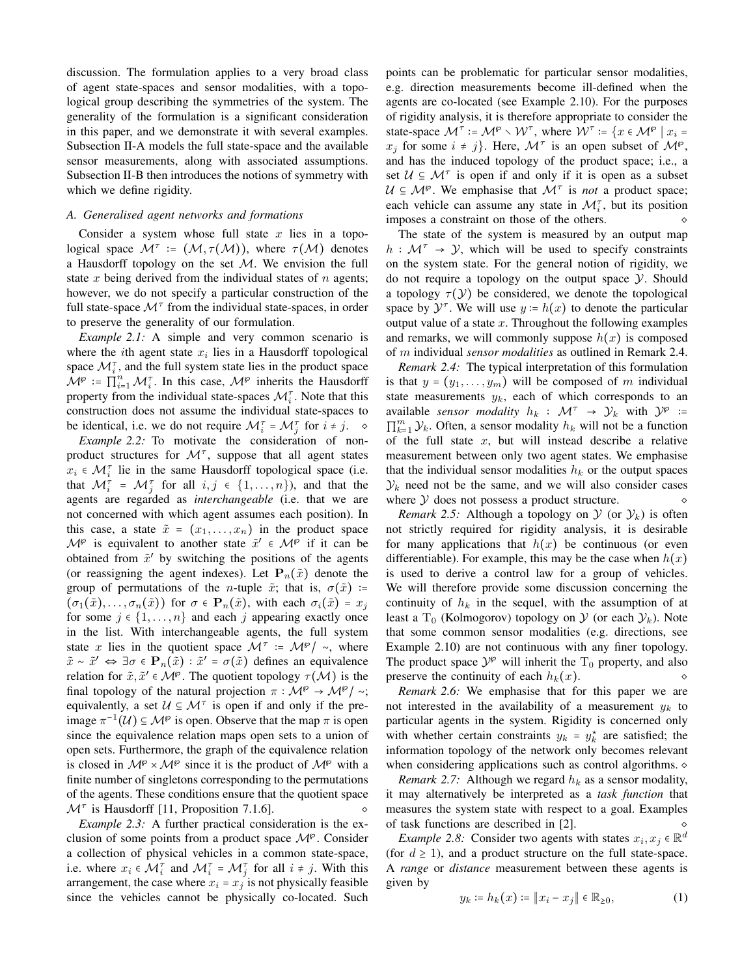discussion. The formulation applies to a very broad class of agent state-spaces and sensor modalities, with a topological group describing the symmetries of the system. The generality of the formulation is a significant consideration in this paper, and we demonstrate it with several examples. Subsection II-A models the full state-space and the available sensor measurements, along with associated assumptions. Subsection II-B then introduces the notions of symmetry with which we define rigidity.

## A. Generalised agent networks and formations

Consider a system whose full state  $x$  lies in a topological space  $\mathcal{M}^{\tau} := (\mathcal{M}, \tau(\mathcal{M}))$ , where  $\tau(\mathcal{M})$  denotes a Hausdorff topology on the set  $M$ . We envision the full state  $x$  being derived from the individual states of  $n$  agents; however, we do not specify a particular construction of the full state-space  $\mathcal{M}^{\tau}$  from the individual state-spaces, in order to preserve the generality of our formulation.

*Example 2.1:* A simple and very common scenario is where the *i*th agent state  $x_i$  lies in a Hausdorff topological space  $\mathcal{M}_i^{\tau}$ , and the full system state lies in the product space  $\mathcal{M}^{\varphi}$  :=  $\prod_{i=1}^{n} \mathcal{M}_{i}^{\tau}$ . In this case,  $\mathcal{M}^{\varphi}$  inherits the Hausdorff property from the individual state-spaces  $\mathcal{M}_{i}^{\tau}$ . Note that this construction does not assume the individual state-spaces to be identical, i.e. we do not require  $\mathcal{M}_{i}^{\tau} = \mathcal{M}_{i}^{\tau}$  for  $i \neq j$ .  $\diamond$ 

*Example 2.2:* To motivate the consideration of nonproduct structures for  $\mathcal{M}^{\tau}$ , suppose that all agent states  $x_i \in \mathcal{M}_i^{\tau}$  lie in the same Hausdorff topological space (i.e. that  $\mathcal{M}_{i}^{\tau} = \mathcal{M}_{i}^{\tau}$  for all  $i, j \in \{1, ..., n\}$ , and that the agents are regarded as interchangeable (i.e. that we are not concerned with which agent assumes each position). In this case, a state  $\tilde{x} = (x_1, \ldots, x_n)$  in the product space  $\mathcal{M}^{\wp}$  is equivalent to another state  $\tilde{x}' \in \mathcal{M}^{\wp}$  if it can be obtained from  $\tilde{x}'$  by switching the positions of the agents (or reassigning the agent indexes). Let  $P_n(\tilde{x})$  denote the group of permutations of the *n*-tuple  $\tilde{x}$ ; that is,  $\sigma(\tilde{x})$  :=  $(\sigma_1(\tilde{x}), \ldots, \sigma_n(\tilde{x}))$  for  $\sigma \in \mathbf{P}_n(\tilde{x})$ , with each  $\sigma_i(\tilde{x}) = x_i$ for some  $j \in \{1, ..., n\}$  and each j appearing exactly once in the list. With interchangeable agents, the full system state x lies in the quotient space  $\mathcal{M}^{\tau}$  :=  $\mathcal{M}^{\varphi}/\sim$ , where  $\tilde{x} \sim \tilde{x}' \Leftrightarrow \exists \sigma \in \mathbf{P}_n(\tilde{x}) : \tilde{x}' = \sigma(\tilde{x})$  defines an equivalence relation for  $\tilde{x}, \tilde{x}' \in M^{\wp}$ . The quotient topology  $\tau(M)$  is the final topology of the natural projection  $\pi : \mathcal{M}^{\wp} \to \mathcal{M}^{\wp}/\sim$ ; equivalently, a set  $\mathcal{U} \subseteq \mathcal{M}^{\tau}$  is open if and only if the preimage  $\pi^{-1}(\mathcal{U}) \subseteq \mathcal{M}^{\wp}$  is open. Observe that the map  $\pi$  is open since the equivalence relation maps open sets to a union of open sets. Furthermore, the graph of the equivalence relation is closed in  $\mathcal{M}^{\wp} \times \mathcal{M}^{\wp}$  since it is the product of  $\mathcal{M}^{\wp}$  with a finite number of singletons corresponding to the permutations of the agents. These conditions ensure that the quotient space  $\mathcal{M}^{\tau}$  is Hausdorff [11, Proposition 7.1.6]. ♦

*Example 2.3:* A further practical consideration is the exclusion of some points from a product space  $\mathcal{M}^{\wp}$ . Consider a collection of physical vehicles in a common state-space, i.e. where  $x_i \in \mathcal{M}_i^{\tau}$  and  $\mathcal{M}_i^{\tau} = \mathcal{M}_i^{\tau}$  for all  $i \neq j$ . With this arrangement, the case where  $x_i = x_j$  is not physically feasible since the vehicles cannot be physically co-located. Such points can be problematic for particular sensor modalities, e.g. direction measurements become ill-defined when the agents are co-located (see Example 2.10). For the purposes of rigidity analysis, it is therefore appropriate to consider the state-space  $\mathcal{M}^{\tau}$  :=  $\mathcal{M}^{\varphi} \setminus \mathcal{W}^{\tau}$ , where  $\mathcal{W}^{\tau}$  :=  $\{x \in \mathcal{M}^{\varphi} \mid x_i =$  $x_i$  for some  $i \neq j$ . Here,  $\mathcal{M}^{\tau}$  is an open subset of  $\mathcal{M}^{\varphi}$ , and has the induced topology of the product space; i.e., a set  $U \subseteq M^{\tau}$  is open if and only if it is open as a subset  $U \subseteq M^{\wp}$ . We emphasise that  $M^{\tau}$  is *not* a product space; each vehicle can assume any state in  $\mathcal{M}_{i}^{\tau}$ , but its position imposes a constraint on those of the others.

The state of the system is measured by an output map  $h: \mathcal{M}^{\tau} \rightarrow \mathcal{Y}$ , which will be used to specify constraints on the system state. For the general notion of rigidity, we do not require a topology on the output space  $\mathcal Y$ . Should a topology  $\tau(\mathcal{Y})$  be considered, we denote the topological space by  $\mathcal{Y}^{\tau}$ . We will use  $y = h(x)$  to denote the particular output value of a state  $x$ . Throughout the following examples and remarks, we will commonly suppose  $h(x)$  is composed of  $m$  individual sensor modalities as outlined in Remark 2.4.

*Remark 2.4:* The typical interpretation of this formulation is that  $y = (y_1, \ldots, y_m)$  will be composed of m individual state measurements  $y_k$ , each of which corresponds to an available sensor modality  $h_k$ :  $\mathcal{M}^{\tau} \rightarrow \mathcal{Y}_k$  with  $\mathcal{Y}^{\varphi}$  :=  $\prod_{k=1}^m \mathcal{Y}_k$ . Often, a sensor modality  $h_k$  will not be a function of the full state  $x$ , but will instead describe a relative measurement between only two agent states. We emphasise that the individual sensor modalities  $h_k$  or the output spaces  $\mathcal{Y}_k$  need not be the same, and we will also consider cases where  $Y$  does not possess a product structure.  $\Diamond$ 

*Remark* 2.5: Although a topology on  $\mathcal{Y}$  (or  $\mathcal{Y}_k$ ) is often not strictly required for rigidity analysis, it is desirable for many applications that  $h(x)$  be continuous (or even differentiable). For example, this may be the case when  $h(x)$ is used to derive a control law for a group of vehicles. We will therefore provide some discussion concerning the continuity of  $h_k$  in the sequel, with the assumption of at least a T<sub>0</sub> (Kolmogorov) topology on  $\mathcal Y$  (or each  $\mathcal Y_k$ ). Note that some common sensor modalities (e.g. directions, see Example 2.10) are not continuous with any finer topology. The product space  $\mathcal{Y}^{\wp}$  will inherit the  $T_0$  property, and also preserve the continuity of each  $h_k(x)$ .

*Remark 2.6:* We emphasise that for this paper we are not interested in the availability of a measurement  $y_k$  to particular agents in the system. Rigidity is concerned only with whether certain constraints  $y_k = y_k^*$  are satisfied; the information topology of the network only becomes relevant when considering applications such as control algorithms.  $\diamond$ 

*Remark 2.7:* Although we regard  $h_k$  as a sensor modality, it may alternatively be interpreted as a task function that measures the system state with respect to a goal. Examples of task functions are described in [2].

*Example 2.8:* Consider two agents with states  $x_i, x_j \in \mathbb{R}^d$ (for  $d \ge 1$ ), and a product structure on the full state-space. A range or distance measurement between these agents is given by

$$
y_k := h_k(x) := \|x_i - x_j\| \in \mathbb{R}_{\geq 0},\tag{1}
$$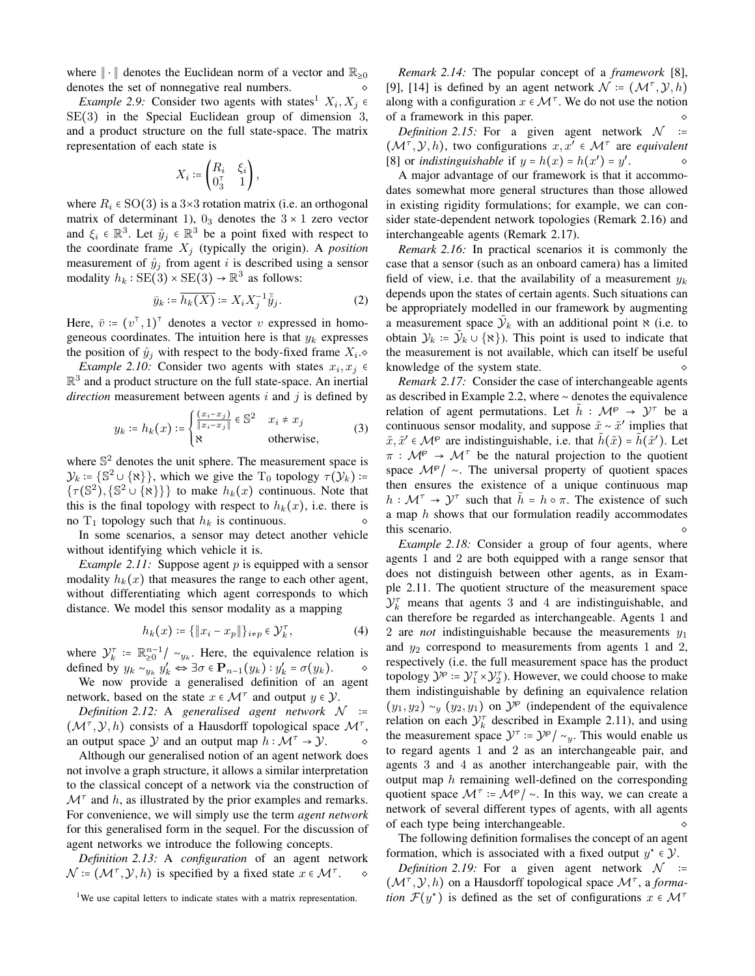where  $\|\cdot\|$  denotes the Euclidean norm of a vector and  $\mathbb{R}_{\geq 0}$ denotes the set of nonnegative real numbers.

*Example 2.9:* Consider two agents with states<sup>1</sup>  $X_i, X_j \in$  $SE(3)$  in the Special Euclidean group of dimension 3, and a product structure on the full state-space. The matrix representation of each state is

$$
X_i \coloneqq \begin{pmatrix} R_i & \xi_i \\ \mathbf{0}_3^\top & 1 \end{pmatrix},
$$

where  $R_i \in SO(3)$  is a 3×3 rotation matrix (i.e. an orthogonal matrix of determinant 1),  $0_3$  denotes the  $3 \times 1$  zero vector and  $\xi_i \in \mathbb{R}^3$ . Let  $\mathring{y}_j \in \mathbb{R}^3$  be a point fixed with respect to the coordinate frame  $X_j$  (typically the origin). A *position* measurement of  $\hat{y}_j$  from agent i is described using a sensor modality  $h_k : SE(3) \times SE(3) \rightarrow \mathbb{R}^3$  as follows:

$$
\bar{y}_k \coloneqq \overline{h_k(X)} \coloneqq X_i X_j^{-1} \bar{\tilde{y}}_j. \tag{2}
$$

Here,  $\bar{v}$  :=  $(v^{\dagger}, 1)^{\dagger}$  denotes a vector v expressed in homogeneous coordinates. The intuition here is that  $y_k$  expresses the position of  $\hat{y}_i$  with respect to the body-fixed frame  $X_i$ .

*Example 2.10:* Consider two agents with states  $x_i, x_j \in$  $\mathbb{R}^3$  and a product structure on the full state-space. An inertial *direction* measurement between agents i and j is defined by

$$
y_k \coloneqq h_k(x) \coloneqq \begin{cases} \frac{(x_i - x_j)}{\|x_i - x_j\|} \in \mathbb{S}^2 & x_i \neq x_j \\ \aleph & \text{otherwise,} \end{cases}
$$
 (3)

where  $\mathbb{S}^2$  denotes the unit sphere. The measurement space is  $\mathcal{Y}_k = \{ \mathbb{S}^2 \cup \{ \aleph \} \}$ , which we give the  $T_0$  topology  $\tau(\mathcal{Y}_k)$  :=  $\{\tau(\mathbb{S}^2), \{\mathbb{S}^2 \cup \{\aleph\}\}\}\$  to make  $h_k(x)$  continuous. Note that this is the final topology with respect to  $h_k(x)$ , i.e. there is no  $T_1$  topology such that  $h_k$  is continuous.

In some scenarios, a sensor may detect another vehicle without identifying which vehicle it is.

*Example 2.11:* Suppose agent  $p$  is equipped with a sensor modality  $h_k(x)$  that measures the range to each other agent, without differentiating which agent corresponds to which distance. We model this sensor modality as a mapping

$$
h_k(x) \coloneqq \{\|x_i - x_p\|\}_{i \neq p} \in \mathcal{Y}_k^{\tau},\tag{4}
$$

where  $\mathcal{Y}_k^{\tau} \coloneqq \mathbb{R}_{\geq 0}^{n-1} / \sim_{y_k}$ . Here, the equivalence relation is defined by  $y_k \sim_{y_k} y'_k \Leftrightarrow \exists \sigma \in \mathbf{P}_{n-1}(y_k) : y'_k = \sigma(y_k)$ .

We now provide a generalised definition of an agent network, based on the state  $x \in \mathcal{M}^{\tau}$  and output  $y \in \mathcal{Y}$ .

Definition 2.12: A generalised agent network  $\mathcal N$  $\mathbf{r}$  $(\mathcal{M}^{\tau}, \mathcal{Y}, h)$  consists of a Hausdorff topological space  $\mathcal{M}^{\tau}$ , an output space Y and an output map  $h : \mathcal{M}^{\tau} \to \mathcal{Y}$ .

Although our generalised notion of an agent network does not involve a graph structure, it allows a similar interpretation to the classical concept of a network via the construction of  $\mathcal{M}^{\tau}$  and h, as illustrated by the prior examples and remarks. For convenience, we will simply use the term *agent network* for this generalised form in the sequel. For the discussion of agent networks we introduce the following concepts.

Definition 2.13: A configuration of an agent network  $\mathcal{N}$  :=  $(\mathcal{M}^{\tau}, \mathcal{Y}, h)$  is specified by a fixed state  $x \in \mathcal{M}^{\tau}$ .

Remark 2.14: The popular concept of a framework [8], [9], [14] is defined by an agent network  $\mathcal{N} = (\mathcal{M}^{\tau}, \mathcal{Y}, h)$ along with a configuration  $x \in \mathcal{M}^{\tau}$ . We do not use the notion of a framework in this paper.

*Definition* 2.15: For a given agent network  $\mathcal N$  $:=$  $(\mathcal{M}^{\tau}, \mathcal{Y}, h)$ , two configurations  $x, x' \in \mathcal{M}^{\tau}$  are *equivalent* [8] or *indistinguishable* if  $y = h(x) = h(x') = y'$ .  $\Diamond$ 

A major advantage of our framework is that it accommodates somewhat more general structures than those allowed in existing rigidity formulations; for example, we can consider state-dependent network topologies (Remark 2.16) and interchangeable agents (Remark 2.17).

Remark 2.16: In practical scenarios it is commonly the case that a sensor (such as an onboard camera) has a limited field of view, i.e. that the availability of a measurement  $y_k$ depends upon the states of certain agents. Such situations can be appropriately modelled in our framework by augmenting a measurement space  $\mathcal{Y}_k$  with an additional point  $\aleph$  (i.e. to obtain  $\mathcal{Y}_k := \mathcal{Y}_k \cup \{\aleph\}$ . This point is used to indicate that the measurement is not available, which can itself be useful knowledge of the system state.

Remark 2.17: Consider the case of interchangeable agents as described in Example 2.2, where  $\sim$  denotes the equivalence relation of agent permutations. Let  $\hat{h}: \mathcal{M}^{\wp} \to \mathcal{Y}^{\tau}$  be a continuous sensor modality, and suppose  $\tilde{x} \sim \tilde{x}'$  implies that  $\tilde{x}, \tilde{x}' \in \mathcal{M}^{\wp}$  are indistinguishable, i.e. that  $\tilde{h}(\tilde{x}) = \tilde{h}(\tilde{x}')$ . Let  $\pi : \mathcal{M}^{\varphi} \to \mathcal{M}^{\tau}$  be the natural projection to the quotient space  $\mathcal{M}^{\wp}/\sim$ . The universal property of quotient spaces then ensures the existence of a unique continuous map  $h: \mathcal{M}^{\tau} \to \mathcal{Y}^{\tau}$  such that  $h = h \circ \pi$ . The existence of such a map  $h$  shows that our formulation readily accommodates this scenario.

Example 2.18: Consider a group of four agents, where agents 1 and 2 are both equipped with a range sensor that does not distinguish between other agents, as in Example 2.11. The quotient structure of the measurement space  $\mathcal{Y}_k^{\tau}$  means that agents 3 and 4 are indistinguishable, and can therefore be regarded as interchangeable. Agents 1 and 2 are *not* indistinguishable because the measurements  $y_1$ and  $y_2$  correspond to measurements from agents 1 and 2, respectively (i.e. the full measurement space has the product topology  $\mathcal{Y}^{\wp} := \mathcal{Y}_1^{\tau} \times \mathcal{Y}_2^{\tau}$ . However, we could choose to make them indistinguishable by defining an equivalence relation  $(y_1, y_2) \sim_u (y_2, y_1)$  on  $\mathcal{Y}^{\wp}$  (independent of the equivalence relation on each  $\mathcal{Y}_k^{\tau}$  described in Example 2.11), and using the measurement space  $\mathcal{Y}^{\tau} = \mathcal{Y}^{\varphi}/\sim_y$ . This would enable us to regard agents 1 and 2 as an interchangeable pair, and agents 3 and 4 as another interchangeable pair, with the output map  $h$  remaining well-defined on the corresponding quotient space  $\mathcal{M}^{\tau}$  :=  $\mathcal{M}^{\varphi}/\sim$ . In this way, we can create a network of several different types of agents, with all agents of each type being interchangeable.

The following definition formalises the concept of an agent formation, which is associated with a fixed output  $y^* \in \mathcal{Y}$ .

*Definition* 2.19: For a given agent network  $\mathcal{N}$  :=  $(\mathcal{M}^{\tau}, \mathcal{Y}, h)$  on a Hausdorff topological space  $\mathcal{M}^{\tau}$ , a forma*tion*  $\mathcal{F}(y^*)$  is defined as the set of configurations  $x \in \mathcal{M}^{\tau}$ 

<sup>&</sup>lt;sup>1</sup>We use capital letters to indicate states with a matrix representation.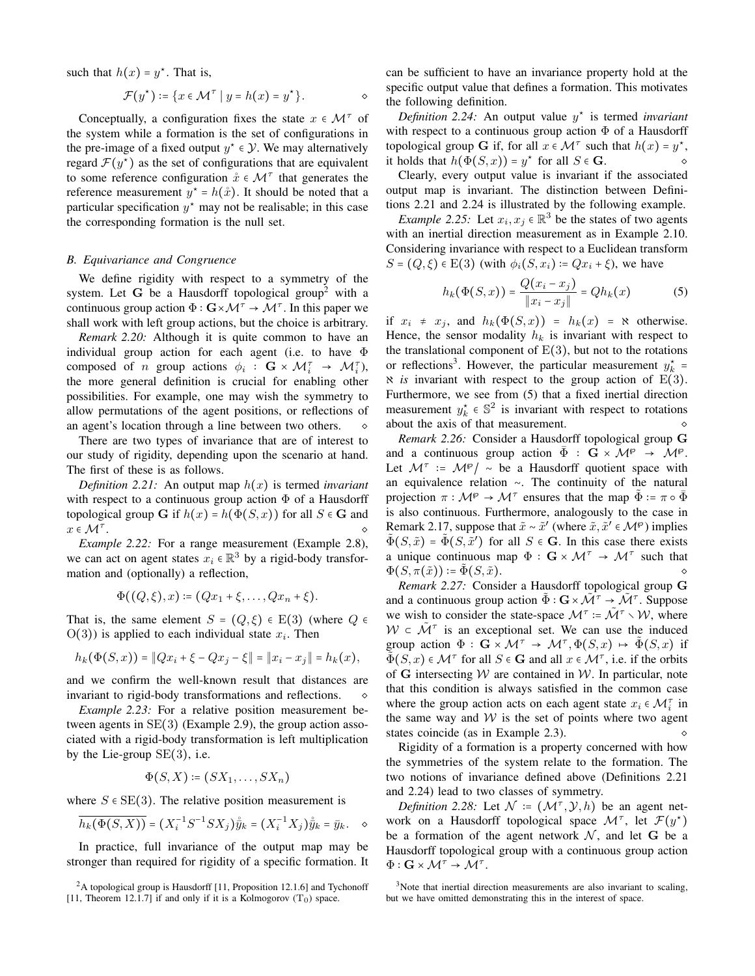such that  $h(x) = y^*$ . That is,

$$
\mathcal{F}(y^*) \coloneqq \{ x \in \mathcal{M}^\tau \mid y = h(x) = y^* \}.
$$

Conceptually, a configuration fixes the state  $x \in \mathcal{M}^{\tau}$  of the system while a formation is the set of configurations in the pre-image of a fixed output  $y^* \in \mathcal{Y}$ . We may alternatively regard  $\mathcal{F}(y^*)$  as the set of configurations that are equivalent to some reference configuration  $\mathring{x} \in \mathcal{M}^{\tau}$  that generates the reference measurement  $y^* = h(x)$ . It should be noted that a particular specification  $y^*$  may not be realisable; in this case the corresponding formation is the null set.

## **B.** Equivariance and Congruence

We define rigidity with respect to a symmetry of the system. Let G be a Hausdorff topological group<sup>2</sup> with a continuous group action  $\Phi: \mathbf{G} \times \mathcal{M}^{\tau} \to \mathcal{M}^{\tau}$ . In this paper we shall work with left group actions, but the choice is arbitrary.

Remark 2.20: Although it is quite common to have an individual group action for each agent (i.e. to have  $\Phi$ composed of *n* group actions  $\phi_i$  :  $\mathbf{G} \times \mathcal{M}_i^{\tau} \rightarrow \mathcal{M}_i^{\tau}$ , the more general definition is crucial for enabling other possibilities. For example, one may wish the symmetry to allow permutations of the agent positions, or reflections of an agent's location through a line between two others.

There are two types of invariance that are of interest to our study of rigidity, depending upon the scenario at hand. The first of these is as follows.

Definition 2.21: An output map  $h(x)$  is termed invariant with respect to a continuous group action  $\Phi$  of a Hausdorff topological group G if  $h(x) = h(\Phi(S, x))$  for all  $S \in G$  and  $x \in \mathcal{M}^{\tau}$ .

*Example 2.22:* For a range measurement (Example 2.8), we can act on agent states  $x_i \in \mathbb{R}^3$  by a rigid-body transformation and (optionally) a reflection,

$$
\Phi((Q,\xi),x) \coloneqq (Qx_1 + \xi, \ldots, Qx_n + \xi).
$$

That is, the same element  $S = (Q, \xi) \in E(3)$  (where  $Q \in$  $O(3)$ ) is applied to each individual state  $x_i$ . Then

$$
h_k(\Phi(S,x)) = ||Qx_i + \xi - Qx_j - \xi|| = ||x_i - x_j|| = h_k(x),
$$

and we confirm the well-known result that distances are invariant to rigid-body transformations and reflections.

*Example 2.23:* For a relative position measurement between agents in  $SE(3)$  (Example 2.9), the group action associated with a rigid-body transformation is left multiplication by the Lie-group  $SE(3)$ , i.e.

$$
\Phi(S, X) \coloneqq (SX_1, \ldots, SX_n)
$$

where  $S \in SE(3)$ . The relative position measurement is

$$
\overline{h_k(\Phi(S,X))} = (X_i^{-1}S^{-1}SX_j)\hat{\bar{y}}_k = (X_i^{-1}X_j)\hat{\bar{y}}_k = \bar{y}_k. \quad \diamond
$$

In practice, full invariance of the output map may be stronger than required for rigidity of a specific formation. It can be sufficient to have an invariance property hold at the specific output value that defines a formation. This motivates the following definition.

Definition 2.24: An output value  $y^*$  is termed invariant with respect to a continuous group action  $\Phi$  of a Hausdorff topological group G if, for all  $x \in \mathcal{M}^{\tau}$  such that  $h(x) = y^*$ , it holds that  $h(\Phi(S, x)) = y^*$  for all  $S \in \mathbf{G}$ .  $\Diamond$ 

Clearly, every output value is invariant if the associated output map is invariant. The distinction between Definitions 2.21 and 2.24 is illustrated by the following example.

*Example 2.25:* Let  $x_i, x_j \in \mathbb{R}^3$  be the states of two agents with an inertial direction measurement as in Example 2.10. Considering invariance with respect to a Euclidean transform  $S = (Q, \xi) \in E(3)$  (with  $\phi_i(S, x_i) = Qx_i + \xi$ ), we have

$$
h_k(\Phi(S, x)) = \frac{Q(x_i - x_j)}{\|x_i - x_j\|} = Qh_k(x)
$$
 (5)

if  $x_i \neq x_j$ , and  $h_k(\Phi(S, x)) = h_k(x) = \aleph$  otherwise. Hence, the sensor modality  $h_k$  is invariant with respect to the translational component of  $E(3)$ , but not to the rotations or reflections<sup>3</sup>. However, the particular measurement  $y_k^*$  =  $\aleph$  is invariant with respect to the group action of E(3). Furthermore, we see from (5) that a fixed inertial direction measurement  $y_k^* \in \mathbb{S}^2$  is invariant with respect to rotations about the axis of that measurement.

Remark 2.26: Consider a Hausdorff topological group G and a continuous group action  $\overline{\Phi}: \mathbf{G} \times \mathcal{M}^{\wp} \to \mathcal{M}^{\wp}$ . Let  $\mathcal{M}^{\tau}$  :=  $\mathcal{M}^{\varphi}/\sim$  be a Hausdorff quotient space with an equivalence relation  $\sim$ . The continuity of the natural projection  $\pi: \mathcal{M}^{\rho} \to \mathcal{M}^{\tau}$  ensures that the map  $\Phi \coloneqq \pi \circ \Phi$ is also continuous. Furthermore, analogously to the case in Remark 2.17, suppose that  $\tilde{x} \sim \tilde{x}'$  (where  $\tilde{x}, \tilde{x}' \in \mathcal{M}^{\wp}$ ) implies  $\tilde{\Phi}(S,\tilde{x}) = \tilde{\Phi}(S,\tilde{x}')$  for all  $S \in \mathbf{G}$ . In this case there exists a unique continuous map  $\Phi : \mathbf{G} \times \mathcal{M}^{\tau} \to \mathcal{M}^{\tau}$  such that  $\Phi(S, \pi(\tilde{x})) \coloneqq \tilde{\Phi}(S, \tilde{x}).$ 

Remark 2.27: Consider a Hausdorff topological group G and a continuous group action  $\Phi: \mathbf{G} \times \mathcal{M}^{\tau} \to \mathcal{M}^{\tau}$ . Suppose we wish to consider the state-space  $\mathcal{M}^{\tau} = \mathcal{M}^{\tau} \setminus \mathcal{W}$ , where  $W \subset \tilde{M}^{\tau}$  is an exceptional set. We can use the induced group action  $\Phi : \mathbf{G} \times \mathcal{M}^{\tau} \to \mathcal{M}^{\tau}, \Phi(S, x) \mapsto \tilde{\Phi}(S, x)$  if  $\Phi(S, x) \in \mathcal{M}^{\tau}$  for all  $S \in \mathbf{G}$  and all  $x \in \mathcal{M}^{\tau}$ , i.e. if the orbits of G intersecting  $W$  are contained in W. In particular, note that this condition is always satisfied in the common case where the group action acts on each agent state  $x_i \in \mathcal{M}_i^{\tau}$  in the same way and  $W$  is the set of points where two agent states coincide (as in Example 2.3).  $\Diamond$ 

Rigidity of a formation is a property concerned with how the symmetries of the system relate to the formation. The two notions of invariance defined above (Definitions 2.21) and 2.24) lead to two classes of symmetry.

*Definition 2.28:* Let  $\mathcal{N}$  =  $(\mathcal{M}^{\tau}, \mathcal{Y}, h)$  be an agent network on a Hausdorff topological space  $\mathcal{M}^{\tau}$ , let  $\mathcal{F}(y^{\star})$ be a formation of the agent network  $N$ , and let G be a Hausdorff topological group with a continuous group action  $\Phi: \mathbf{G} \times \mathcal{M}^{\tau} \rightarrow \mathcal{M}^{\tau}.$ 

 ${}^{2}$ A topological group is Hausdorff [11, Proposition 12.1.6] and Tychonoff [11, Theorem 12.1.7] if and only if it is a Kolmogorov  $(T_0)$  space.

<sup>&</sup>lt;sup>3</sup>Note that inertial direction measurements are also invariant to scaling, but we have omitted demonstrating this in the interest of space.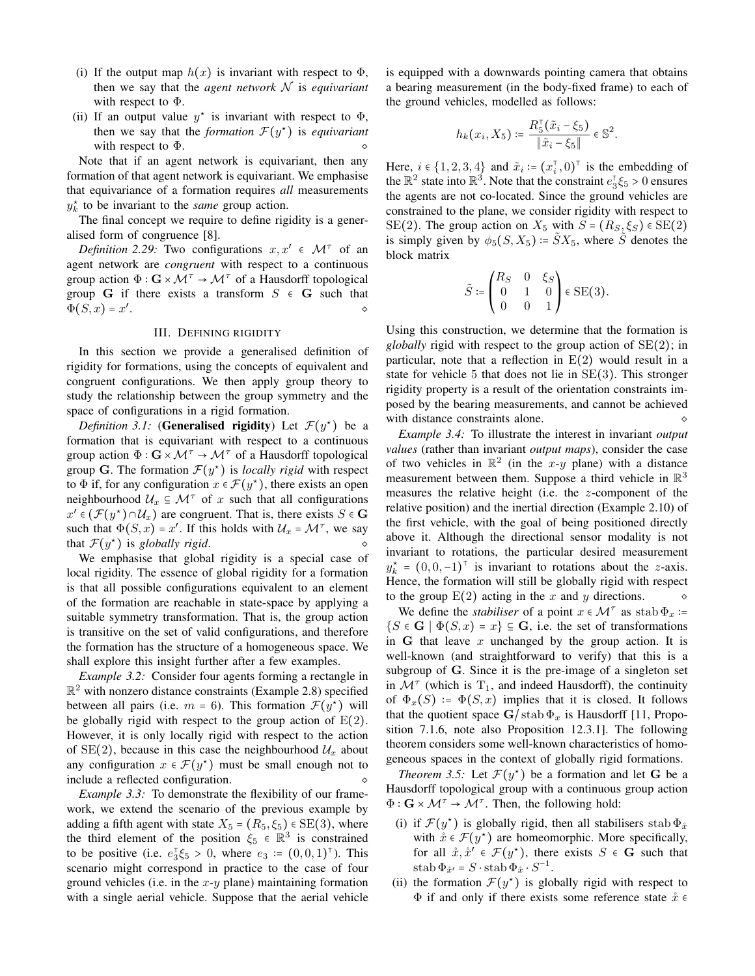- (i) If the output map  $h(x)$  is invariant with respect to  $\Phi$ , then we say that the *agent network*  $N$  is *equivariant* with respect to  $\Phi$ .
- (ii) If an output value  $y^*$  is invariant with respect to  $\Phi$ , then we say that the *formation*  $\mathcal{F}(y^*)$  is *equivariant* with respect to  $\Phi$ .

Note that if an agent network is equivariant, then any formation of that agent network is equivariant. We emphasise that equivariance of a formation requires all measurements  $y_k^*$  to be invariant to the *same* group action.

The final concept we require to define rigidity is a generalised form of congruence [8].

*Definition 2.29:* Two configurations  $x, x' \in \mathcal{M}^{\tau}$  of an agent network are *congruent* with respect to a continuous group action  $\Phi: \mathbf{G} \times \mathcal{M}^{\tau} \to \mathcal{M}^{\tau}$  of a Hausdorff topological group G if there exists a transform  $S \in G$  such that  $\Phi(S, x) = x'.$  $\Diamond$ 

## **III. DEFINING RIGIDITY**

In this section we provide a generalised definition of rigidity for formations, using the concepts of equivalent and congruent configurations. We then apply group theory to study the relationship between the group symmetry and the space of configurations in a rigid formation.

*Definition 3.1:* (Generalised rigidity) Let  $\mathcal{F}(y^*)$  be a formation that is equivariant with respect to a continuous group action  $\Phi: \mathbf{G} \times \mathcal{M}^{\tau} \to \mathcal{M}^{\tau}$  of a Hausdorff topological group G. The formation  $\mathcal{F}(y^*)$  is *locally rigid* with respect to  $\Phi$  if, for any configuration  $x \in \mathcal{F}(y^*)$ , there exists an open neighbourhood  $\mathcal{U}_x \subseteq \mathcal{M}^{\tau}$  of x such that all configurations  $x' \in (\mathcal{F}(y^*) \cap \mathcal{U}_x)$  are congruent. That is, there exists  $S \in \mathbf{G}$ such that  $\Phi(S, x) = x'$ . If this holds with  $\mathcal{U}_x = \mathcal{M}^{\tau}$ , we say that  $\mathcal{F}(y^*)$  is globally rigid.

We emphasise that global rigidity is a special case of local rigidity. The essence of global rigidity for a formation is that all possible configurations equivalent to an element of the formation are reachable in state-space by applying a suitable symmetry transformation. That is, the group action is transitive on the set of valid configurations, and therefore the formation has the structure of a homogeneous space. We shall explore this insight further after a few examples.

*Example 3.2:* Consider four agents forming a rectangle in  $\mathbb{R}^2$  with nonzero distance constraints (Example 2.8) specified between all pairs (i.e.  $m = 6$ ). This formation  $\mathcal{F}(y^*)$  will be globally rigid with respect to the group action of  $E(2)$ . However, it is only locally rigid with respect to the action of SE(2), because in this case the neighbourhood  $\mathcal{U}_x$  about any configuration  $x \in \mathcal{F}(y^*)$  must be small enough not to include a reflected configuration.

*Example 3.3:* To demonstrate the flexibility of our framework, we extend the scenario of the previous example by adding a fifth agent with state  $X_5 = (R_5, \xi_5) \in SE(3)$ , where the third element of the position  $\xi_5 \in \mathbb{R}^3$  is constrained to be positive (i.e.  $e_3^T \xi_5 > 0$ , where  $e_3 = (0,0,1)^T$ ). This scenario might correspond in practice to the case of four ground vehicles (i.e. in the  $x-y$  plane) maintaining formation with a single aerial vehicle. Suppose that the aerial vehicle is equipped with a downwards pointing camera that obtains a bearing measurement (in the body-fixed frame) to each of the ground vehicles, modelled as follows:

$$
h_k(x_i, X_5) \coloneqq \frac{R_5^{\sf T}(\tilde{x}_i - \xi_5)}{\|\tilde{x}_i - \xi_5\|} \in \mathbb{S}^2.
$$

Here,  $i \in \{1, 2, 3, 4\}$  and  $\tilde{x}_i := (x_i^\top, 0)^\top$  is the embedding of the  $\mathbb{R}^2$  state into  $\mathbb{R}^3$ . Note that the constraint  $e_3^T \xi_5 > 0$  ensures the agents are not co-located. Since the ground vehicles are constrained to the plane, we consider rigidity with respect to SE(2). The group action on  $X_5$  with  $S = (R_S, \xi_S) \in SE(2)$ is simply given by  $\phi_5(S, X_5) = \tilde{S}X_5$ , where  $\tilde{S}$  denotes the block matrix

$$
\tilde{S} := \begin{pmatrix} R_S & 0 & \xi_S \\ 0 & 1 & 0 \\ 0 & 0 & 1 \end{pmatrix} \in \text{SE}(3).
$$

í

Using this construction, we determine that the formation is *globally* rigid with respect to the group action of  $SE(2)$ ; in particular, note that a reflection in  $E(2)$  would result in a state for vehicle 5 that does not lie in  $SE(3)$ . This stronger rigidity property is a result of the orientation constraints imposed by the bearing measurements, and cannot be achieved with distance constraints alone.  $\Diamond$ 

*Example 3.4:* To illustrate the interest in invariant *output* values (rather than invariant output maps), consider the case of two vehicles in  $\mathbb{R}^2$  (in the x-y plane) with a distance measurement between them. Suppose a third vehicle in  $\mathbb{R}^3$ measures the relative height (i.e. the  $z$ -component of the relative position) and the inertial direction (Example 2.10) of the first vehicle, with the goal of being positioned directly above it. Although the directional sensor modality is not invariant to rotations, the particular desired measurement  $y_k^* = (0,0,-1)^\top$  is invariant to rotations about the z-axis. Hence, the formation will still be globally rigid with respect to the group  $E(2)$  acting in the x and y directions.  $\Diamond$ 

We define the *stabiliser* of a point  $x \in \mathcal{M}^{\tau}$  as stab  $\Phi_x$ :=  $\{S \in \mathbf{G} \mid \Phi(S, x) = x\} \subseteq \mathbf{G}$ , i.e. the set of transformations in G that leave x unchanged by the group action. It is well-known (and straightforward to verify) that this is a subgroup of G. Since it is the pre-image of a singleton set in  $\mathcal{M}^{\tau}$  (which is T<sub>1</sub>, and indeed Hausdorff), the continuity of  $\Phi_x(S) := \Phi(S, x)$  implies that it is closed. It follows that the quotient space  $G/\text{stab} \Phi_x$  is Hausdorff [11, Proposition 7.1.6, note also Proposition 12.3.1]. The following theorem considers some well-known characteristics of homogeneous spaces in the context of globally rigid formations.

*Theorem 3.5:* Let  $\mathcal{F}(y^*)$  be a formation and let G be a Hausdorff topological group with a continuous group action  $\Phi: \mathbf{G} \times \mathcal{M}^{\tau} \to \mathcal{M}^{\tau}$ . Then, the following hold:

- (i) if  $\mathcal{F}(y^*)$  is globally rigid, then all stabilisers stab  $\Phi_{\hat{x}}$ with  $\mathring{x} \in \mathcal{F}(y^*)$  are homeomorphic. More specifically, for all  $\dot{x}, \dot{x}' \in \mathcal{F}(y^*)$ , there exists  $S \in \mathbf{G}$  such that stab  $\Phi_{\hat{x}'} = S \cdot \operatorname{stab} \Phi_{\hat{x}} \cdot S^{-1}$ .
- (ii) the formation  $\mathcal{F}(y^*)$  is globally rigid with respect to  $\Phi$  if and only if there exists some reference state  $\mathring{x} \in \mathring{E}$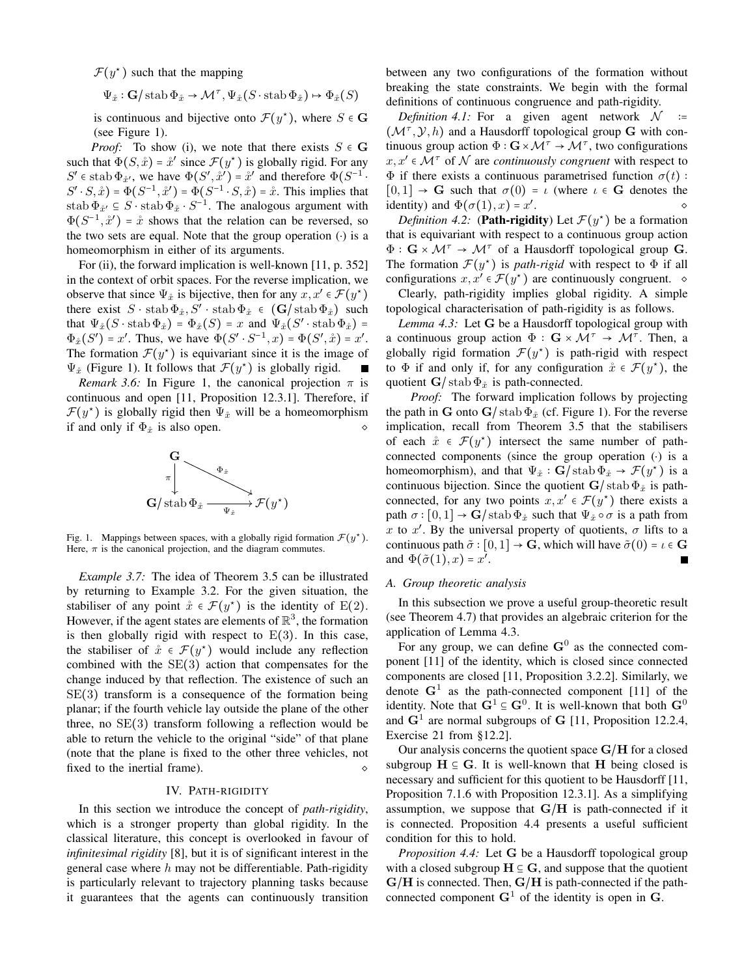$\mathcal{F}(y^*)$  such that the mapping

$$
\Psi_{\hat{x}} : \mathbf{G}/\text{stab}\,\Phi_{\hat{x}} \to \mathcal{M}^{\tau}, \Psi_{\hat{x}}(S \cdot \text{stab}\,\Phi_{\hat{x}}) \mapsto \Phi_{\hat{x}}(S)
$$

is continuous and bijective onto  $\mathcal{F}(y^*)$ , where  $S \in \mathbf{G}$ (see Figure 1).

*Proof:* To show (i), we note that there exists  $S \in G$ such that  $\Phi(S, \mathring{x}) = \mathring{x}'$  since  $\mathcal{F}(y^*)$  is globally rigid. For any  $S' \in$  stab  $\Phi_{\hat{x}'},$  we have  $\Phi(S', \hat{x}') = \hat{x}'$  and therefore  $\Phi(S^{-1})$ .  $S' \cdot S, \mathring{x}$ ) =  $\Phi(S^{-1}, \mathring{x}') = \Phi(S^{-1} \cdot S, \mathring{x}) = \mathring{x}$ . This implies that stab  $\Phi_{\hat{x}} \subseteq S$  stab  $\Phi_{\hat{x}} \cdot S^{-1}$ . The analogous argument with  $\Phi(S^{-1}, \mathring{x}') = \mathring{x}$  shows that the relation can be reversed, so the two sets are equal. Note that the group operation  $(·)$  is a homeomorphism in either of its arguments.

For (ii), the forward implication is well-known [11, p. 352] in the context of orbit spaces. For the reverse implication, we observe that since  $\Psi_{\hat{x}}$  is bijective, then for any  $x, x' \in \mathcal{F}(y^*)$ there exist  $S \cdot \operatorname{stab} \Phi_{\hat{x}}, S' \cdot \operatorname{stab} \Phi_{\hat{x}} \in (\mathbf{G}/\operatorname{stab} \Phi_{\hat{x}})$  such that  $\Psi_{\hat{x}}(S \cdot \operatorname{stab} \Phi_{\hat{x}}) = \Phi_{\hat{x}}(S) = x$  and  $\Psi_{\hat{x}}(S' \cdot \operatorname{stab} \Phi_{\hat{x}}) =$  $\Phi_{\hat{x}}(S') = x'$ . Thus, we have  $\Phi(S' \cdot S^{-1}, x) = \Phi(S', \hat{x}) = x'$ . The formation  $\mathcal{F}(y^*)$  is equivariant since it is the image of  $\Psi_{\hat{x}}$  (Figure 1). It follows that  $\mathcal{F}(y^*)$  is globally rigid.

*Remark 3.6:* In Figure 1, the canonical projection  $\pi$  is continuous and open [11, Proposition 12.3.1]. Therefore, if  $\mathcal{F}(y^*)$  is globally rigid then  $\Psi_{\hat{x}}$  will be a homeomorphism if and only if  $\Phi_{\hat{x}}$  is also open.



Fig. 1. Mappings between spaces, with a globally rigid formation  $\mathcal{F}(y^*)$ . Here,  $\pi$  is the canonical projection, and the diagram commutes.

*Example 3.7:* The idea of Theorem 3.5 can be illustrated by returning to Example 3.2. For the given situation, the stabiliser of any point  $\mathring{x} \in \mathcal{F}(y^*)$  is the identity of E(2). However, if the agent states are elements of  $\mathbb{R}^3$ , the formation is then globally rigid with respect to  $E(3)$ . In this case, the stabiliser of  $\dot{x} \in \mathcal{F}(y^*)$  would include any reflection combined with the  $SE(3)$  action that compensates for the change induced by that reflection. The existence of such an  $SE(3)$  transform is a consequence of the formation being planar; if the fourth vehicle lay outside the plane of the other three, no  $SE(3)$  transform following a reflection would be able to return the vehicle to the original "side" of that plane (note that the plane is fixed to the other three vehicles, not fixed to the inertial frame).

# IV. PATH-RIGIDITY

In this section we introduce the concept of *path-rigidity*, which is a stronger property than global rigidity. In the classical literature, this concept is overlooked in favour of infinitesimal rigidity [8], but it is of significant interest in the general case where  $h$  may not be differentiable. Path-rigidity is particularly relevant to trajectory planning tasks because it guarantees that the agents can continuously transition between any two configurations of the formation without breaking the state constraints. We begin with the formal definitions of continuous congruence and path-rigidity.

*Definition 4.1:* For a given agent network  $\mathcal N$  $(\mathcal{M}^{\tau}, \mathcal{Y}, h)$  and a Hausdorff topological group G with continuous group action  $\Phi: \mathbf{G} \times \mathcal{M}^{\tau} \to \mathcal{M}^{\tau}$ , two configurations  $x, x' \in \mathcal{M}^{\tau}$  of N are continuously congruent with respect to  $\Phi$  if there exists a continuous parametrised function  $\sigma(t)$ :  $[0,1] \rightarrow G$  such that  $\sigma(0) = \iota$  (where  $\iota \in G$  denotes the identity) and  $\Phi(\sigma(1), x) = x'$ .

*Definition 4.2:* (Path-rigidity) Let  $\mathcal{F}(y^*)$  be a formation that is equivariant with respect to a continuous group action  $\Phi: \mathbf{G} \times \mathcal{M}^{\tau} \to \mathcal{M}^{\tau}$  of a Hausdorff topological group G. The formation  $\mathcal{F}(y^*)$  is *path-rigid* with respect to  $\Phi$  if all configurations  $x, x' \in \mathcal{F}(y^*)$  are continuously congruent.  $\diamond$ 

Clearly, path-rigidity implies global rigidity. A simple topological characterisation of path-rigidity is as follows.

Lemma 4.3: Let G be a Hausdorff topological group with a continuous group action  $\Phi : \mathbf{G} \times \mathcal{M}^{\tau} \to \mathcal{M}^{\tau}$ . Then, a globally rigid formation  $\mathcal{F}(y^*)$  is path-rigid with respect to  $\Phi$  if and only if, for any configuration  $\mathring{x} \in \mathcal{F}(y^*)$ , the quotient  $\mathbf{G}/\operatorname{stab} \Phi_{\hat{x}}$  is path-connected.

*Proof:* The forward implication follows by projecting the path in G onto  $G/\text{stab} \Phi_{\hat{x}}$  (cf. Figure 1). For the reverse implication, recall from Theorem 3.5 that the stabilisers of each  $\dot{x} \in \mathcal{F}(y^*)$  intersect the same number of pathconnected components (since the group operation  $\left(\cdot\right)$  is a homeomorphism), and that  $\Psi_{\hat{x}} : \mathbf{G}/\text{stab}\,\Phi_{\hat{x}} \to \mathcal{F}(y^*)$  is a continuous bijection. Since the quotient  $G/\operatorname{stab} \Phi_{\hat{x}}$  is pathconnected, for any two points  $x, x' \in \mathcal{F}(y^*)$  there exists a path  $\sigma : [0,1] \rightarrow G /$  stab  $\Phi_{\hat{x}}$  such that  $\Psi_{\hat{x}} \circ \sigma$  is a path from x to x'. By the universal property of quotients,  $\sigma$  lifts to a continuous path  $\tilde{\sigma} : [0,1] \rightarrow G$ , which will have  $\tilde{\sigma}(0) = \iota \in G$ and  $\Phi(\tilde{\sigma}(1), x) = x'$ .

## A. Group theoretic analysis

In this subsection we prove a useful group-theoretic result (see Theorem 4.7) that provides an algebraic criterion for the application of Lemma 4.3.

For any group, we can define  $G^0$  as the connected component [11] of the identity, which is closed since connected components are closed [11, Proposition 3.2.2]. Similarly, we denote  $G<sup>1</sup>$  as the path-connected component [11] of the identity. Note that  $G^1 \subseteq G^0$ . It is well-known that both  $G^0$ and  $G<sup>1</sup>$  are normal subgroups of G [11, Proposition 12.2.4, Exercise 21 from  $§12.2$ ].

Our analysis concerns the quotient space  $G/H$  for a closed subgroup  $H \subseteq G$ . It is well-known that H being closed is necessary and sufficient for this quotient to be Hausdorff [11, Proposition 7.1.6 with Proposition 12.3.1]. As a simplifying assumption, we suppose that  $G/H$  is path-connected if it is connected. Proposition 4.4 presents a useful sufficient condition for this to hold.

Proposition 4.4: Let G be a Hausdorff topological group with a closed subgroup  $H \subseteq G$ , and suppose that the quotient  $G/H$  is connected. Then,  $G/H$  is path-connected if the pathconnected component  $G^1$  of the identity is open in G.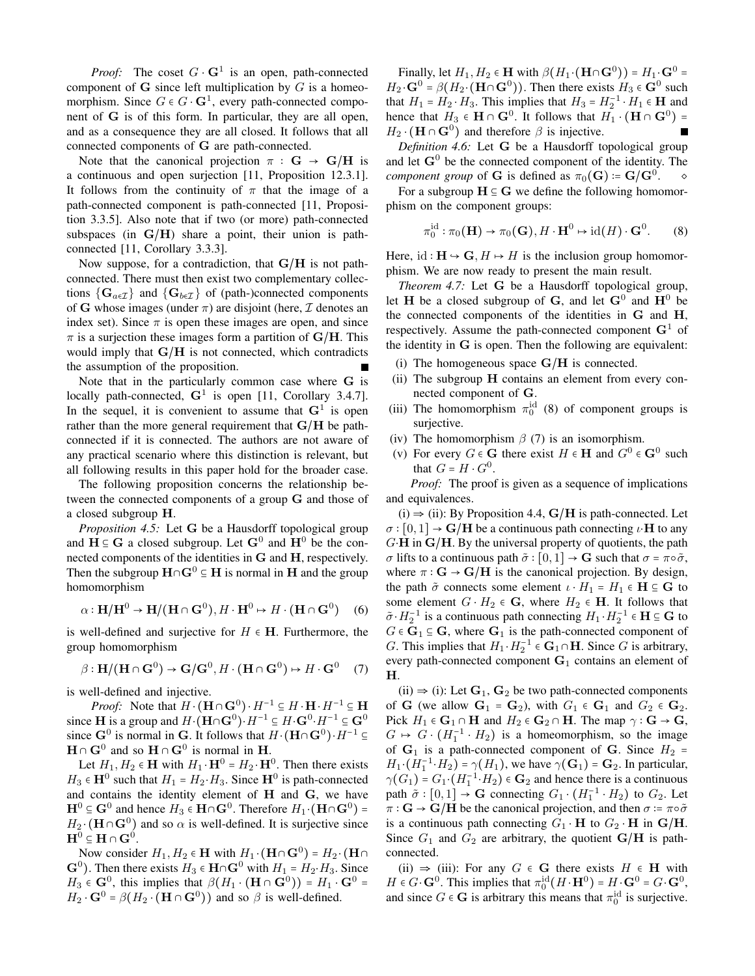*Proof:* The coset  $G \cdot G^1$  is an open, path-connected component of  $G$  since left multiplication by  $G$  is a homeomorphism. Since  $G \in G \cdot \mathbf{G}^1$ , every path-connected component of G is of this form. In particular, they are all open, and as a consequence they are all closed. It follows that all connected components of G are path-connected.

Note that the canonical projection  $\pi : G \rightarrow G/H$  is a continuous and open surjection [11, Proposition 12.3.1]. It follows from the continuity of  $\pi$  that the image of a path-connected component is path-connected [11, Proposition 3.3.5]. Also note that if two (or more) path-connected subspaces (in  $G/H$ ) share a point, their union is pathconnected [11, Corollary 3.3.3].

Now suppose, for a contradiction, that  $G/H$  is not pathconnected. There must then exist two complementary collections  $\{G_{a \in \mathcal{I}}\}\$ and  $\{G_{b \in \mathcal{I}}\}\$  of (path-)connected components of G whose images (under  $\pi$ ) are disjoint (here,  $\mathcal I$  denotes an index set). Since  $\pi$  is open these images are open, and since  $\pi$  is a surjection these images form a partition of G/H. This would imply that  $G/H$  is not connected, which contradicts the assumption of the proposition.

Note that in the particularly common case where G is locally path-connected,  $G^1$  is open [11, Corollary 3.4.7]. In the sequel, it is convenient to assume that  $G^1$  is open rather than the more general requirement that  $G/H$  be pathconnected if it is connected. The authors are not aware of any practical scenario where this distinction is relevant, but all following results in this paper hold for the broader case.

The following proposition concerns the relationship between the connected components of a group G and those of a closed subgroup H.

Proposition 4.5: Let G be a Hausdorff topological group and  $H \subseteq G$  a closed subgroup. Let  $G^0$  and  $H^0$  be the connected components of the identities in G and H, respectively. Then the subgroup  $H \cap G^0 \subseteq H$  is normal in H and the group homomorphism

$$
\alpha : \mathbf{H}/\mathbf{H}^0 \to \mathbf{H}/(\mathbf{H} \cap \mathbf{G}^0), H \cdot \mathbf{H}^0 \mapsto H \cdot (\mathbf{H} \cap \mathbf{G}^0) \tag{6}
$$

is well-defined and surjective for  $H \in H$ . Furthermore, the group homomorphism

$$
\beta : \mathbf{H}/(\mathbf{H} \cap \mathbf{G}^0) \to \mathbf{G}/\mathbf{G}^0, H \cdot (\mathbf{H} \cap \mathbf{G}^0) \mapsto H \cdot \mathbf{G}^0 \quad (7)
$$

is well-defined and injective.

*Proof:* Note that  $H \cdot (\mathbf{H} \cap \mathbf{G}^0) \cdot H^{-1} \subseteq H \cdot \mathbf{H} \cdot H^{-1} \subseteq \mathbf{H}$ since **H** is a group and  $H \cdot (\mathbf{H} \cap \mathbf{G}^0) \cdot H^{-1} \subseteq H \cdot \mathbf{G}^0 \cdot H^{-1} \subseteq \mathbf{G}^0$ since  $G^0$  is normal in G. It follows that  $H \cdot (H \cap G^0) \cdot H^{-1} \subseteq$  $H \cap G^0$  and so  $H \cap G^0$  is normal in H.

Let  $H_1, H_2 \in \mathbf{H}$  with  $H_1 \cdot \mathbf{H}^0 = H_2 \cdot \mathbf{H}^0$ . Then there exists  $H_3 \in \mathbf{H}^0$  such that  $H_1 = H_2 \cdot H_3$ . Since  $\mathbf{H}^0$  is path-connected and contains the identity element of H and G, we have  $\mathbf{H}^0 \subseteq \mathbf{G}^0$  and hence  $H_3 \in \mathbf{H} \cap \mathbf{G}^0$ . Therefore  $H_1 \cdot (\mathbf{H} \cap \mathbf{G}^0) =$  $H_2 \cdot (\mathbf{H} \cap \mathbf{G}^0)$  and so  $\alpha$  is well-defined. It is surjective since  $H^0 \subseteq H \cap G^0$ .

Now consider  $H_1, H_2 \in \mathbf{H}$  with  $H_1 \cdot (\mathbf{H} \cap \mathbf{G}^0) = H_2 \cdot (\mathbf{H} \cap$  $\mathbf{G}^0$ ). Then there exists  $H_3 \in \mathbf{H} \cap \mathbf{G}^0$  with  $H_1 = H_2 \cdot H_3$ . Since  $H_3 \in \mathbf{G}^0$ , this implies that  $\beta(H_1 \cdot (\mathbf{H} \cap \mathbf{G}^0)) = H_1 \cdot \mathbf{G}^0 =$  $H_2 \cdot \mathbf{G}^0 = \beta(H_2 \cdot (\mathbf{H} \cap \mathbf{G}^0))$  and so  $\beta$  is well-defined.

Finally, let  $H_1, H_2 \in \mathbf{H}$  with  $\beta(H_1 \cdot (\mathbf{H} \cap \mathbf{G}^0)) = H_1 \cdot \mathbf{G}^0 =$  $H_2 \cdot \mathbf{G}^0 = \beta(H_2 \cdot (\mathbf{H} \cap \mathbf{G}^0))$ . Then there exists  $H_3 \in \mathbf{G}^0$  such that  $H_1 = H_2 \cdot H_3$ . This implies that  $H_3 = H_2^{-1} \cdot H_1 \in \mathbf{H}$  and hence that  $H_3 \in \mathbf{H} \cap \mathbf{G}^0$ . It follows that  $H_1 \cdot (\mathbf{H} \cap \mathbf{G}^0) =$  $H_2 \cdot (\mathbf{H} \cap \mathbf{G}^0)$  and therefore  $\beta$  is injective.

Definition 4.6: Let G be a Hausdorff topological group and let  $G^0$  be the connected component of the identity. The *component group* of G is defined as  $\pi_0(G) = G/G^0$ .  $\Diamond$ 

For a subgroup  $H \subseteq G$  we define the following homomorphism on the component groups:

$$
\pi_0^{\mathrm{id}} : \pi_0(\mathbf{H}) \to \pi_0(\mathbf{G}), H \cdot \mathbf{H}^0 \mapsto \mathrm{id}(H) \cdot \mathbf{G}^0. \tag{8}
$$

Here, id:  $H \rightarrow G$ ,  $H \rightarrow H$  is the inclusion group homomorphism. We are now ready to present the main result.

Theorem 4.7: Let G be a Hausdorff topological group, let H be a closed subgroup of G, and let  $G^0$  and  $H^0$  be the connected components of the identities in G and H, respectively. Assume the path-connected component  $G^1$  of the identity in  $G$  is open. Then the following are equivalent:

- (i) The homogeneous space  $G/H$  is connected.
- (ii) The subgroup H contains an element from every connected component of G.
- (iii) The homomorphism  $\pi_0^{\rm id}$  (8) of component groups is surjective.
- (iv) The homomorphism  $\beta$  (7) is an isomorphism.
- (v) For every  $G \in \mathbf{G}$  there exist  $H \in \mathbf{H}$  and  $G^0 \in \mathbf{G}^0$  such that  $G = H \cdot G^0$ .

*Proof:* The proof is given as a sequence of implications and equivalences.

 $(i) \Rightarrow (ii)$ : By Proposition 4.4,  $G/H$  is path-connected. Let  $\sigma : [0,1] \rightarrow G/H$  be a continuous path connecting  $\iota \cdot H$  to any  $G \cdot H$  in  $G/H$ . By the universal property of quotients, the path  $\sigma$  lifts to a continuous path  $\tilde{\sigma} : [0,1] \rightarrow G$  such that  $\sigma = \pi \circ \tilde{\sigma}$ , where  $\pi: G \rightarrow G/H$  is the canonical projection. By design, the path  $\tilde{\sigma}$  connects some element  $\iota \cdot H_1 = H_1 \in \mathbf{H} \subseteq \mathbf{G}$  to some element  $G \cdot H_2 \in \mathbf{G}$ , where  $H_2 \in \mathbf{H}$ . It follows that  $\tilde{\sigma} \cdot H_2^{-1}$  is a continuous path connecting  $H_1 \cdot H_2^{-1} \in \mathbf{H} \subseteq \mathbf{G}$  to  $G \in \mathbf{G}_1 \subseteq \mathbf{G}$ , where  $\mathbf{G}_1$  is the path-connected component of G. This implies that  $H_1 \cdot H_2^{-1} \in \mathbf{G}_1 \cap \mathbf{H}$ . Since G is arbitrary, every path-connected component  $G_1$  contains an element of  $H$ 

(ii)  $\Rightarrow$  (i): Let  $G_1$ ,  $G_2$  be two path-connected components of G (we allow  $G_1 = G_2$ ), with  $G_1 \in G_1$  and  $G_2 \in G_2$ . Pick  $H_1 \in \mathbf{G}_1 \cap \mathbf{H}$  and  $H_2 \in \mathbf{G}_2 \cap \mathbf{H}$ . The map  $\gamma : \mathbf{G} \to \mathbf{G}$ ,  $G \mapsto G \cdot (H_1^{-1} \cdot H_2)$  is a homeomorphism, so the image of  $G_1$  is a path-connected component of G. Since  $H_2$  =  $H_1 \cdot (H_1^{-1} \cdot H_2) = \gamma(H_1)$ , we have  $\gamma(G_1) = G_2$ . In particular,  $\gamma(G_1)$  =  $G_1 \cdot (H_1^{-1} \cdot H_2) \in \mathbf{G}_2$  and hence there is a continuous path  $\tilde{\sigma} : [0,1] \rightarrow \mathbf{G}$  connecting  $G_1 \cdot (H_1^{-1} \cdot H_2)$  to  $G_2$ . Let  $\pi: \mathbf{G} \to \mathbf{G}/\mathbf{H}$  be the canonical projection, and then  $\sigma = \pi \circ \tilde{\sigma}$ is a continuous path connecting  $G_1 \cdot H$  to  $G_2 \cdot H$  in  $G/H$ . Since  $G_1$  and  $G_2$  are arbitrary, the quotient  $\mathbf{G}/\mathbf{H}$  is pathconnected.

(ii)  $\Rightarrow$  (iii): For any G  $\in$  G there exists H  $\in$  H with  $H \in G \cdot \mathbf{G}^0$ . This implies that  $\pi_0^{\rm id}(H \cdot \mathbf{H}^0) = H \cdot \mathbf{G}^0 = G \cdot \mathbf{G}^0$ , and since  $G \in \mathbf{G}$  is arbitrary this means that  $\pi_0^{\text{id}}$  is surjective.